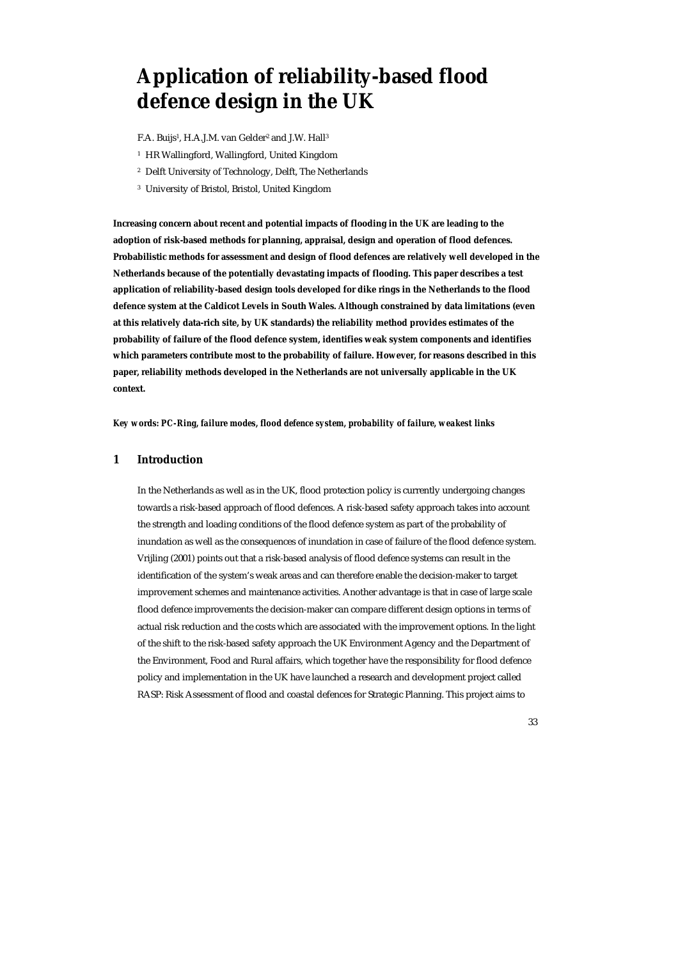# **Application of reliability-based flood defence design in the UK**

F.A. Buijs<sup>1</sup>, H.A.J.M. van Gelder<sup>2</sup> and J.W. Hall<sup>3</sup>

- 1 HR Wallingford, Wallingford, United Kingdom
- 2 Delft University of Technology, Delft, The Netherlands
- 3 University of Bristol, Bristol, United Kingdom

**Increasing concern about recent and potential impacts of flooding in the UK are leading to the adoption of risk-based methods for planning, appraisal, design and operation of flood defences. Probabilistic methods for assessment and design of flood defences are relatively well developed in the Netherlands because of the potentially devastating impacts of flooding. This paper describes a test application of reliability-based design tools developed for dike rings in the Netherlands to the flood defence system at the Caldicot Levels in South Wales. Although constrained by data limitations (even at this relatively data-rich site, by UK standards) the reliability method provides estimates of the probability of failure of the flood defence system, identifies weak system components and identifies which parameters contribute most to the probability of failure. However, for reasons described in this paper, reliability methods developed in the Netherlands are not universally applicable in the UK context.** 

*Key words: PC-Ring, failure modes, flood defence system, probability of failure, weakest links* 

#### **1 Introduction**

In the Netherlands as well as in the UK, flood protection policy is currently undergoing changes towards a risk-based approach of flood defences. A risk-based safety approach takes into account the strength and loading conditions of the flood defence system as part of the probability of inundation as well as the consequences of inundation in case of failure of the flood defence system. Vrijling (2001) points out that a risk-based analysis of flood defence systems can result in the identification of the system's weak areas and can therefore enable the decision-maker to target improvement schemes and maintenance activities. Another advantage is that in case of large scale flood defence improvements the decision-maker can compare different design options in terms of actual risk reduction and the costs which are associated with the improvement options. In the light of the shift to the risk-based safety approach the UK Environment Agency and the Department of the Environment, Food and Rural affairs, which together have the responsibility for flood defence policy and implementation in the UK have launched a research and development project called RASP: Risk Assessment of flood and coastal defences for Strategic Planning. This project aims to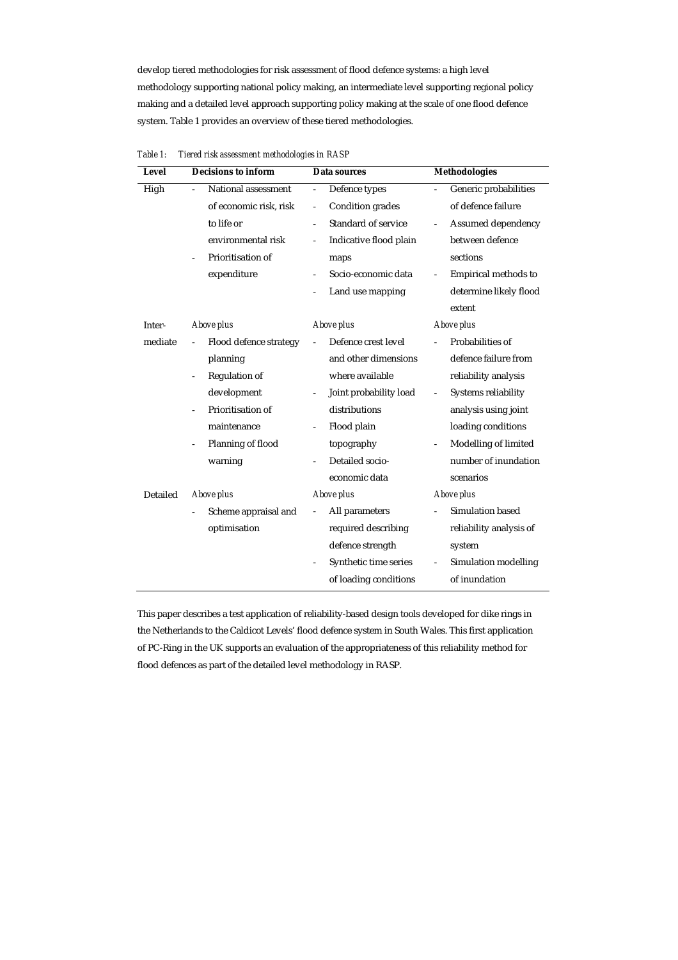develop tiered methodologies for risk assessment of flood defence systems: a high level methodology supporting national policy making, an intermediate level supporting regional policy making and a detailed level approach supporting policy making at the scale of one flood defence system. Table 1 provides an overview of these tiered methodologies.

| Level    | <b>Decisions to inform</b>            | Data sources                                       | <b>Methodologies</b>                    |  |  |
|----------|---------------------------------------|----------------------------------------------------|-----------------------------------------|--|--|
| High     | National assessment<br>$\overline{a}$ | Defence types<br>$\overline{\phantom{a}}$          | Generic probabilities<br>$\overline{a}$ |  |  |
|          | of economic risk, risk                | Condition grades<br>$\frac{1}{2}$                  | of defence failure                      |  |  |
|          | to life or                            | <b>Standard of service</b>                         | Assumed dependency<br>$\overline{a}$    |  |  |
|          | environmental risk                    | Indicative flood plain                             | between defence                         |  |  |
|          | Prioritisation of                     | maps                                               | sections                                |  |  |
|          | expenditure                           | Socio-economic data                                | Empirical methods to                    |  |  |
|          |                                       | Land use mapping                                   | determine likely flood                  |  |  |
|          |                                       |                                                    | extent                                  |  |  |
| Inter-   | Above plus                            | Above plus                                         | Above plus                              |  |  |
| mediate  | Flood defence strategy<br>÷,          | Defence crest level                                | Probabilities of                        |  |  |
|          | planning                              | and other dimensions                               | defence failure from                    |  |  |
|          | <b>Regulation of</b><br>÷,            | where available                                    | reliability analysis                    |  |  |
|          | development                           | Joint probability load<br>$\overline{\phantom{0}}$ | Systems reliability<br>$\blacksquare$   |  |  |
|          | Prioritisation of                     | distributions                                      | analysis using joint                    |  |  |
|          | maintenance                           | Flood plain                                        | loading conditions                      |  |  |
|          | Planning of flood                     | topography                                         | Modelling of limited                    |  |  |
|          | warning                               | Detailed socio-                                    | number of inundation                    |  |  |
|          |                                       | economic data                                      | scenarios                               |  |  |
| Detailed | Above plus                            | Above plus                                         | <b>Above plus</b>                       |  |  |
|          | Scheme appraisal and                  | All parameters<br>$\overline{\phantom{a}}$         | Simulation based                        |  |  |
|          | optimisation                          | required describing                                | reliability analysis of                 |  |  |
|          |                                       | defence strength                                   | system                                  |  |  |
|          |                                       | Synthetic time series                              | Simulation modelling                    |  |  |
|          |                                       | of loading conditions                              | of inundation                           |  |  |

*Table 1: Tiered risk assessment methodologies in RASP* 

This paper describes a test application of reliability-based design tools developed for dike rings in the Netherlands to the Caldicot Levels' flood defence system in South Wales. This first application of PC-Ring in the UK supports an evaluation of the appropriateness of this reliability method for flood defences as part of the detailed level methodology in RASP.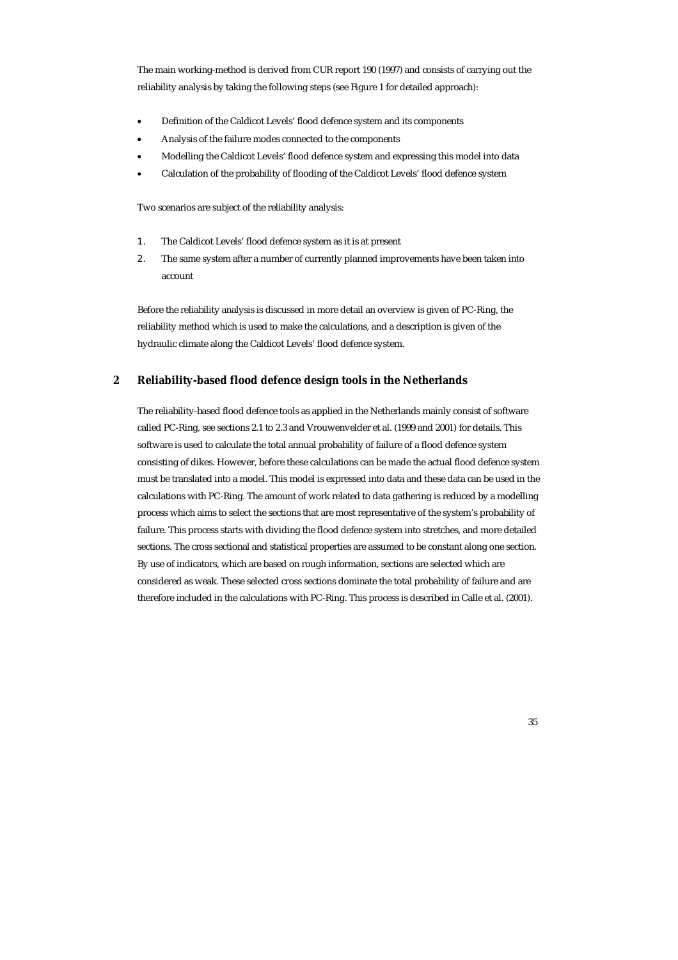The main working-method is derived from CUR report 190 (1997) and consists of carrying out the reliability analysis by taking the following steps (see Figure 1 for detailed approach):

- Definition of the Caldicot Levels' flood defence system and its components
- Analysis of the failure modes connected to the components
- Modelling the Caldicot Levels' flood defence system and expressing this model into data
- Calculation of the probability of flooding of the Caldicot Levels' flood defence system

Two scenarios are subject of the reliability analysis:

- 1. The Caldicot Levels' flood defence system as it is at present
- 2. The same system after a number of currently planned improvements have been taken into account

Before the reliability analysis is discussed in more detail an overview is given of PC-Ring, the reliability method which is used to make the calculations, and a description is given of the hydraulic climate along the Caldicot Levels' flood defence system.

## **2 Reliability-based flood defence design tools in the Netherlands**

The reliability-based flood defence tools as applied in the Netherlands mainly consist of software called PC-Ring, see sections 2.1 to 2.3 and Vrouwenvelder et al. (1999 and 2001) for details. This software is used to calculate the total annual probability of failure of a flood defence system consisting of dikes. However, before these calculations can be made the actual flood defence system must be translated into a model. This model is expressed into data and these data can be used in the calculations with PC-Ring. The amount of work related to data gathering is reduced by a modelling process which aims to select the sections that are most representative of the system's probability of failure. This process starts with dividing the flood defence system into stretches, and more detailed sections. The cross sectional and statistical properties are assumed to be constant along one section. By use of indicators, which are based on rough information, sections are selected which are considered as weak. These selected cross sections dominate the total probability of failure and are therefore included in the calculations with PC-Ring. This process is described in Calle et al. (2001).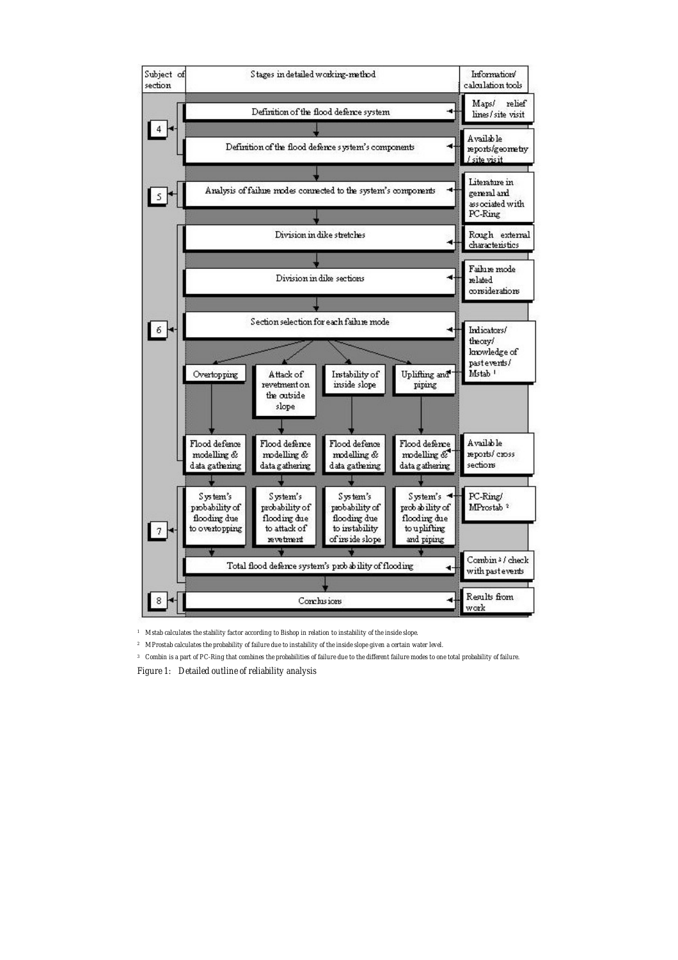

*1 Mstab calculates the stability factor according to Bishop in relation to instability of the inside slope.* 

*2 MProstab calculates the probability of failure due to instability of the inside slope given a certain water level.* 

*3 Combin is a part of PC-Ring that combines the probabilities of failure due to the different failure modes to one total probability of failure.* 

*Figure 1: Detailed outline of reliability analysis*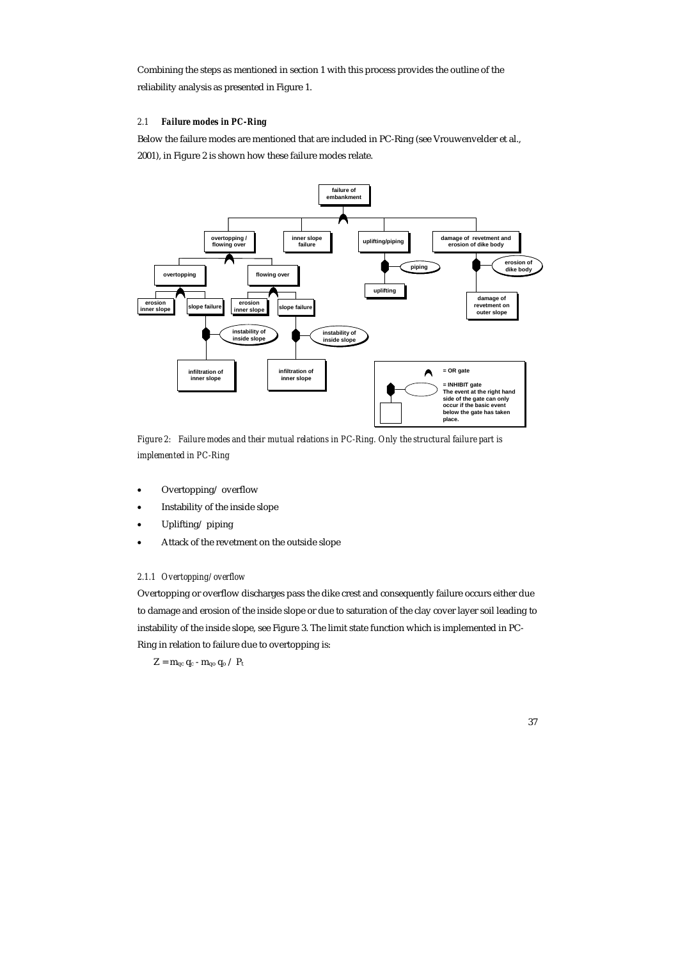Combining the steps as mentioned in section 1 with this process provides the outline of the reliability analysis as presented in Figure 1.

## *2.1 Failure modes in PC-Ring*

Below the failure modes are mentioned that are included in PC-Ring (see Vrouwenvelder et al., 2001), in Figure 2 is shown how these failure modes relate.



*Figure 2: Failure modes and their mutual relations in PC-Ring. Only the structural failure part is implemented in PC-Ring* 

- Overtopping/ overflow
- Instability of the inside slope
- Uplifting/ piping
- Attack of the revetment on the outside slope

#### *2.1.1 Overtopping/ overflow*

Overtopping or overflow discharges pass the dike crest and consequently failure occurs either due to damage and erosion of the inside slope or due to saturation of the clay cover layer soil leading to instability of the inside slope, see Figure 3. The limit state function which is implemented in PC-Ring in relation to failure due to overtopping is:

 $Z = m_{qc} q_c - m_{qo} q_o / P_t$ 

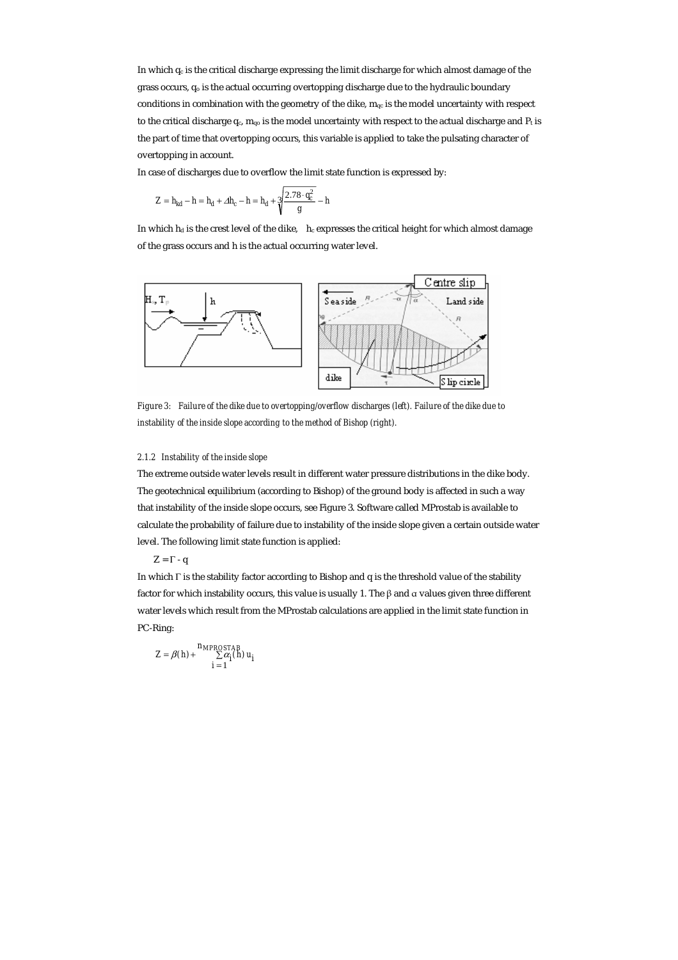In which  $q_c$  is the critical discharge expressing the limit discharge for which almost damage of the grass occurs, qo is the actual occurring overtopping discharge due to the hydraulic boundary conditions in combination with the geometry of the dike,  $m_{qc}$  is the model uncertainty with respect to the critical discharge  $q_c$ ,  $m_{q0}$  is the model uncertainty with respect to the actual discharge and  $P_t$  is the part of time that overtopping occurs, this variable is applied to take the pulsating character of overtopping in account.

In case of discharges due to overflow the limit state function is expressed by:

$$
Z = h_{kd} - h = h_d + \Delta h_c - h = h_d + \sqrt[3]{\frac{2.78 \cdot q_c^2}{g}} - h
$$

In which  $h_d$  is the crest level of the dike,  $h_c$  expresses the critical height for which almost damage of the grass occurs and h is the actual occurring water level.



*Figure 3: Failure of the dike due to overtopping/overflow discharges (left). Failure of the dike due to instability of the inside slope according to the method of Bishop (right).* 

#### *2.1.2 Instability of the inside slope*

The extreme outside water levels result in different water pressure distributions in the dike body. The geotechnical equilibrium (according to Bishop) of the ground body is affected in such a way that instability of the inside slope occurs, see Figure 3. Software called MProstab is available to calculate the probability of failure due to instability of the inside slope given a certain outside water level. The following limit state function is applied:

 $Z = \Gamma - q$ 

In which Γ is the stability factor according to Bishop and q is the threshold value of the stability factor for which instability occurs, this value is usually 1. The  $\beta$  and  $\alpha$  values given three different water levels which result from the MProstab calculations are applied in the limit state function in PC-Ring:

$$
Z = \beta(h) + \frac{n_{MPROSTAB}}{\sum \alpha_i(h)} u_i
$$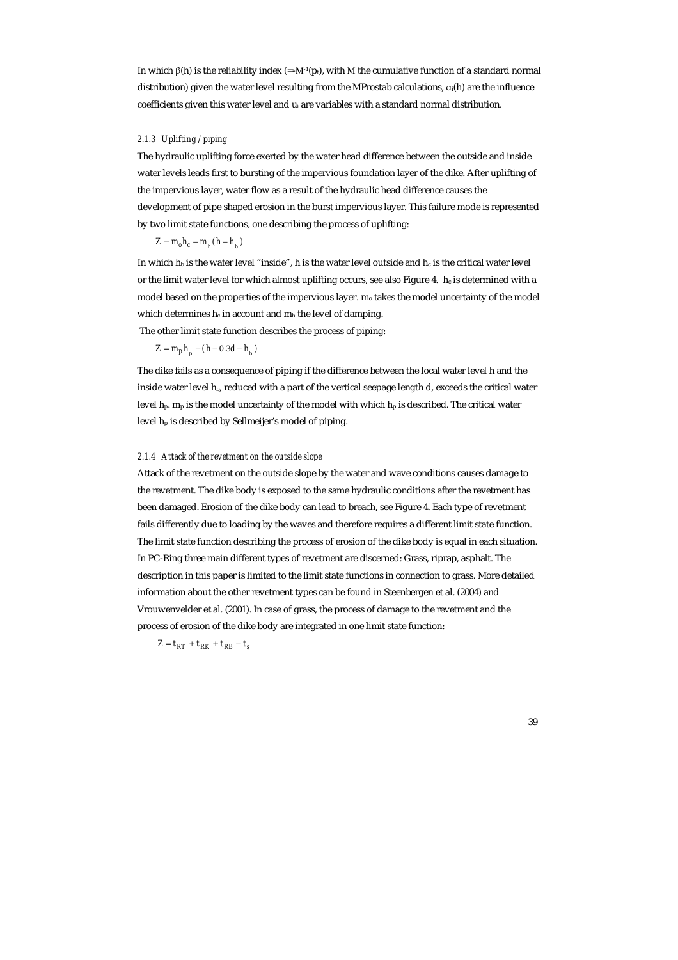In which β(h) is the reliability index (=-M<sup>-1</sup>(p<sub>f</sub>), with M the cumulative function of a standard normal distribution) given the water level resulting from the MProstab calculations,  $\alpha_i(h)$  are the influence coefficients given this water level and u<sub>i</sub> are variables with a standard normal distribution.

#### *2.1.3 Uplifting / piping*

The hydraulic uplifting force exerted by the water head difference between the outside and inside water levels leads first to bursting of the impervious foundation layer of the dike. After uplifting of the impervious layer, water flow as a result of the hydraulic head difference causes the development of pipe shaped erosion in the burst impervious layer. This failure mode is represented by two limit state functions, one describing the process of uplifting:

$$
Z = m_o h_c - m_{_h} (h - h_{_b})
$$

In which  $h_b$  is the water level "inside", h is the water level outside and  $h_c$  is the critical water level or the limit water level for which almost uplifting occurs, see also Figure 4.  $\,h_c$  is determined with a model based on the properties of the impervious layer. m<sub>o</sub> takes the model uncertainty of the model which determines  $h_c$  in account and  $m_h$  the level of damping.

The other limit state function describes the process of piping:

$$
Z = m_p h_p - (h - 0.3d - h_b)
$$

The dike fails as a consequence of piping if the difference between the local water level h and the inside water level  $h_b$ , reduced with a part of the vertical seepage length d, exceeds the critical water level  $h_p$ . m<sub>p</sub> is the model uncertainty of the model with which  $h_p$  is described. The critical water level hp is described by Sellmeijer's model of piping.

#### *2.1.4 Attack of the revetment on the outside slope*

Attack of the revetment on the outside slope by the water and wave conditions causes damage to the revetment. The dike body is exposed to the same hydraulic conditions after the revetment has been damaged. Erosion of the dike body can lead to breach, see Figure 4. Each type of revetment fails differently due to loading by the waves and therefore requires a different limit state function. The limit state function describing the process of erosion of the dike body is equal in each situation. In PC-Ring three main different types of revetment are discerned: Grass, riprap, asphalt. The description in this paper is limited to the limit state functions in connection to grass. More detailed information about the other revetment types can be found in Steenbergen et al. (2004) and Vrouwenvelder et al. (2001). In case of grass, the process of damage to the revetment and the process of erosion of the dike body are integrated in one limit state function:

 $Z = t_{RT} + t_{RK} + t_{RB} - t_s$ 

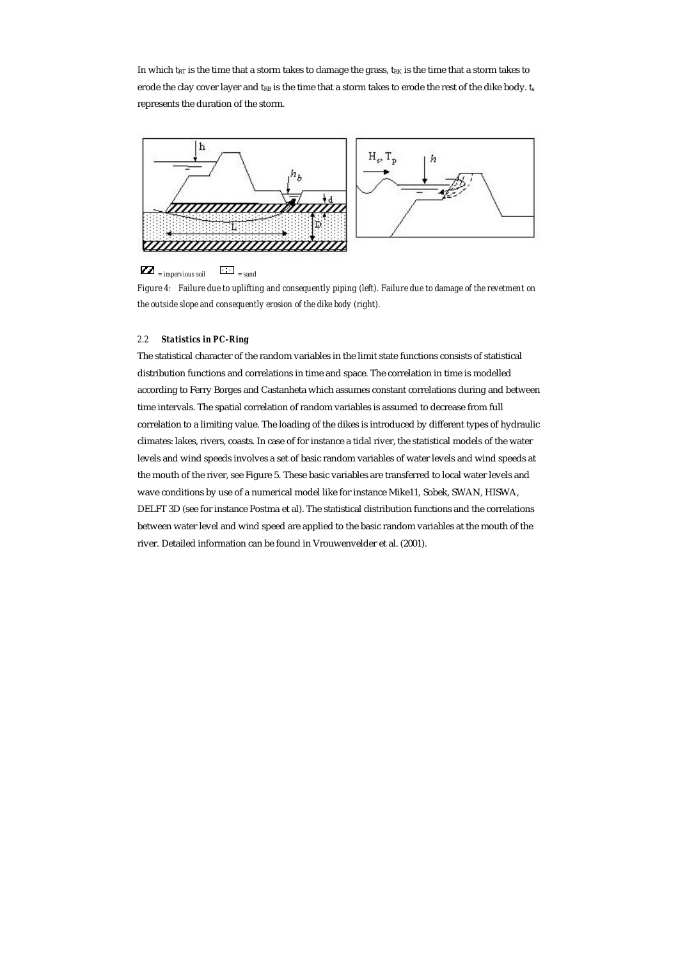In which t<sub>RT</sub> is the time that a storm takes to damage the grass, t<sub>RK</sub> is the time that a storm takes to erode the clay cover layer and t<sub>RB</sub> is the time that a storm takes to erode the rest of the dike body. ts represents the duration of the storm.



## $\sum$  = *impervious soil*  $\sum$  = *sand*

*Figure 4: Failure due to uplifting and consequently piping (left). Failure due to damage of the revetment on the outside slope and consequently erosion of the dike body (right).* 

#### *2.2 Statistics in PC-Ring*

The statistical character of the random variables in the limit state functions consists of statistical distribution functions and correlations in time and space. The correlation in time is modelled according to Ferry Borges and Castanheta which assumes constant correlations during and between time intervals. The spatial correlation of random variables is assumed to decrease from full correlation to a limiting value. The loading of the dikes is introduced by different types of hydraulic climates: lakes, rivers, coasts. In case of for instance a tidal river, the statistical models of the water levels and wind speeds involves a set of basic random variables of water levels and wind speeds at the mouth of the river, see Figure 5. These basic variables are transferred to local water levels and wave conditions by use of a numerical model like for instance Mike11, Sobek, SWAN, HISWA, DELFT 3D (see for instance Postma et al). The statistical distribution functions and the correlations between water level and wind speed are applied to the basic random variables at the mouth of the river. Detailed information can be found in Vrouwenvelder et al. (2001).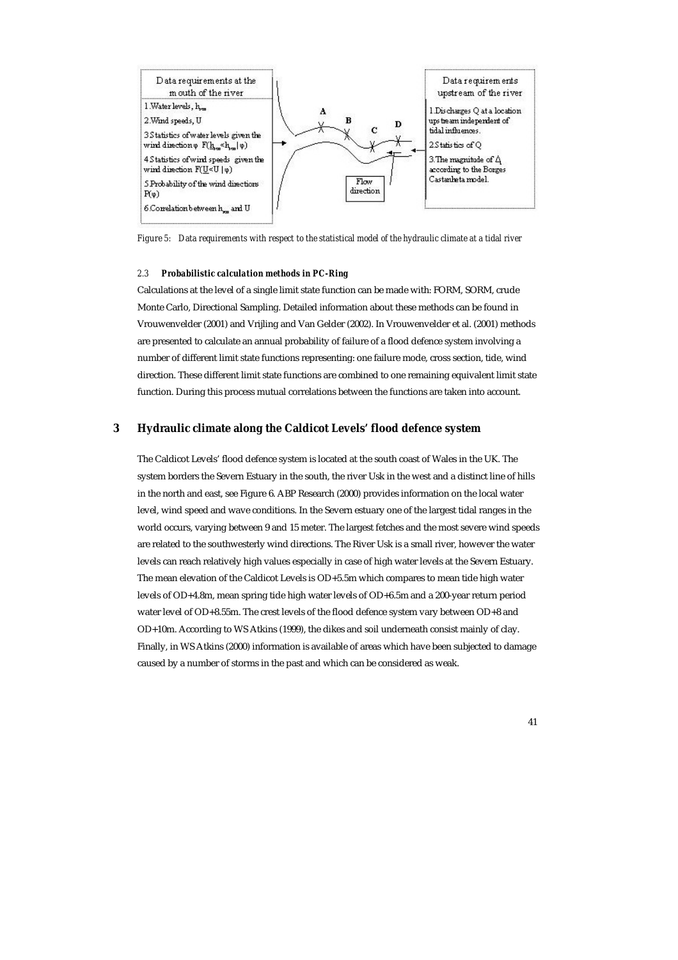

*Figure 5: Data requirements with respect to the statistical model of the hydraulic climate at a tidal river* 

#### *2.3 Probabilistic calculation methods in PC-Ring*

Calculations at the level of a single limit state function can be made with: FORM, SORM, crude Monte Carlo, Directional Sampling. Detailed information about these methods can be found in Vrouwenvelder (2001) and Vrijling and Van Gelder (2002). In Vrouwenvelder et al. (2001) methods are presented to calculate an annual probability of failure of a flood defence system involving a number of different limit state functions representing: one failure mode, cross section, tide, wind direction. These different limit state functions are combined to one remaining equivalent limit state function. During this process mutual correlations between the functions are taken into account.

### **3 Hydraulic climate along the Caldicot Levels' flood defence system**

The Caldicot Levels' flood defence system is located at the south coast of Wales in the UK. The system borders the Severn Estuary in the south, the river Usk in the west and a distinct line of hills in the north and east, see Figure 6. ABP Research (2000) provides information on the local water level, wind speed and wave conditions. In the Severn estuary one of the largest tidal ranges in the world occurs, varying between 9 and 15 meter. The largest fetches and the most severe wind speeds are related to the southwesterly wind directions. The River Usk is a small river, however the water levels can reach relatively high values especially in case of high water levels at the Severn Estuary. The mean elevation of the Caldicot Levels is OD+5.5m which compares to mean tide high water levels of OD+4.8m, mean spring tide high water levels of OD+6.5m and a 200-year return period water level of OD+8.55m. The crest levels of the flood defence system vary between OD+8 and OD+10m. According to WS Atkins (1999), the dikes and soil underneath consist mainly of clay. Finally, in WS Atkins (2000) information is available of areas which have been subjected to damage caused by a number of storms in the past and which can be considered as weak.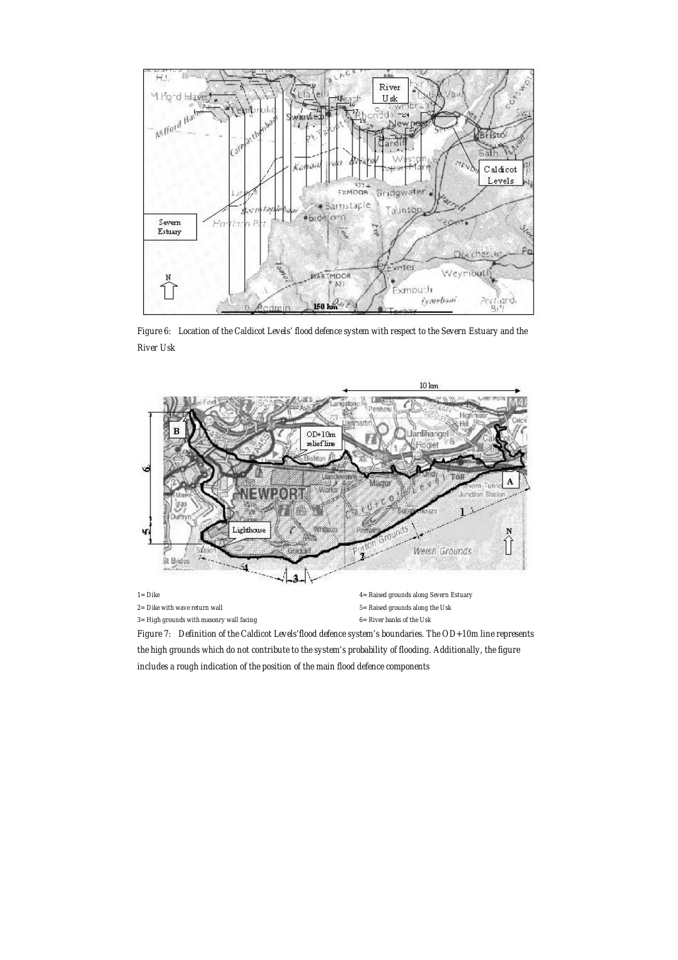

*Figure 6: Location of the Caldicot Levels' flood defence system with respect to the Severn Estuary and the River Usk* 



*the high grounds which do not contribute to the system's probability of flooding. Additionally, the figure includes a rough indication of the position of the main flood defence components*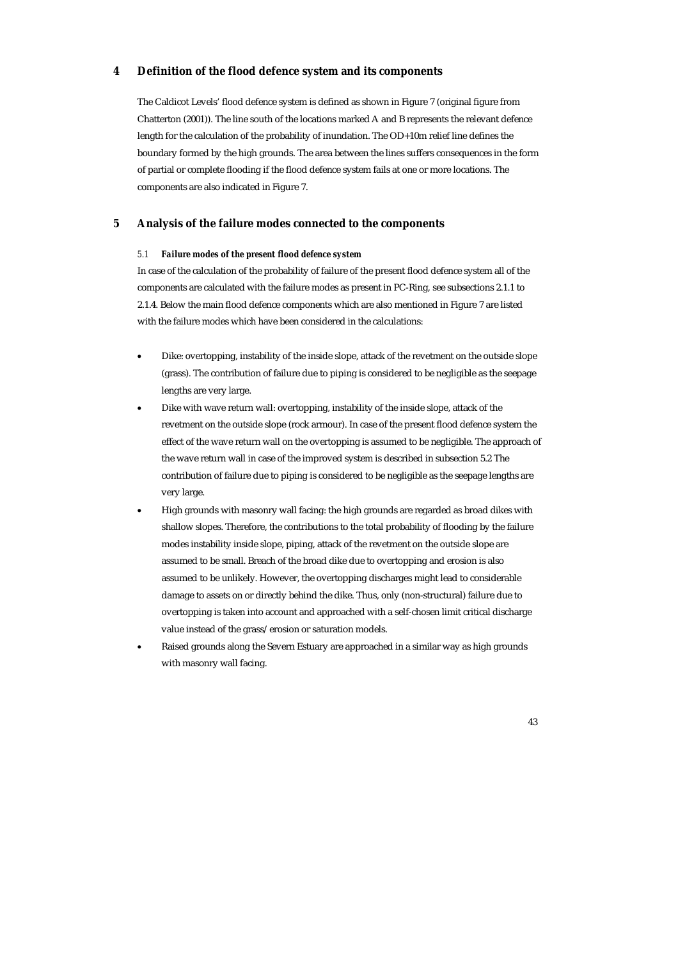### **4 Definition of the flood defence system and its components**

The Caldicot Levels' flood defence system is defined as shown in Figure 7 (original figure from Chatterton (2001)). The line south of the locations marked A and B represents the relevant defence length for the calculation of the probability of inundation. The OD+10m relief line defines the boundary formed by the high grounds. The area between the lines suffers consequences in the form of partial or complete flooding if the flood defence system fails at one or more locations. The components are also indicated in Figure 7.

## **5 Analysis of the failure modes connected to the components**

#### *5.1 Failure modes of the present flood defence system*

In case of the calculation of the probability of failure of the present flood defence system all of the components are calculated with the failure modes as present in PC-Ring, see subsections 2.1.1 to 2.1.4. Below the main flood defence components which are also mentioned in Figure 7 are listed with the failure modes which have been considered in the calculations:

- Dike: overtopping, instability of the inside slope, attack of the revetment on the outside slope (grass). The contribution of failure due to piping is considered to be negligible as the seepage lengths are very large.
- Dike with wave return wall: overtopping, instability of the inside slope, attack of the revetment on the outside slope (rock armour). In case of the present flood defence system the effect of the wave return wall on the overtopping is assumed to be negligible. The approach of the wave return wall in case of the improved system is described in subsection 5.2 The contribution of failure due to piping is considered to be negligible as the seepage lengths are very large.
- High grounds with masonry wall facing: the high grounds are regarded as broad dikes with shallow slopes. Therefore, the contributions to the total probability of flooding by the failure modes instability inside slope, piping, attack of the revetment on the outside slope are assumed to be small. Breach of the broad dike due to overtopping and erosion is also assumed to be unlikely. However, the overtopping discharges might lead to considerable damage to assets on or directly behind the dike. Thus, only (non-structural) failure due to overtopping is taken into account and approached with a self-chosen limit critical discharge value instead of the grass/erosion or saturation models.
- Raised grounds along the Severn Estuary are approached in a similar way as high grounds with masonry wall facing.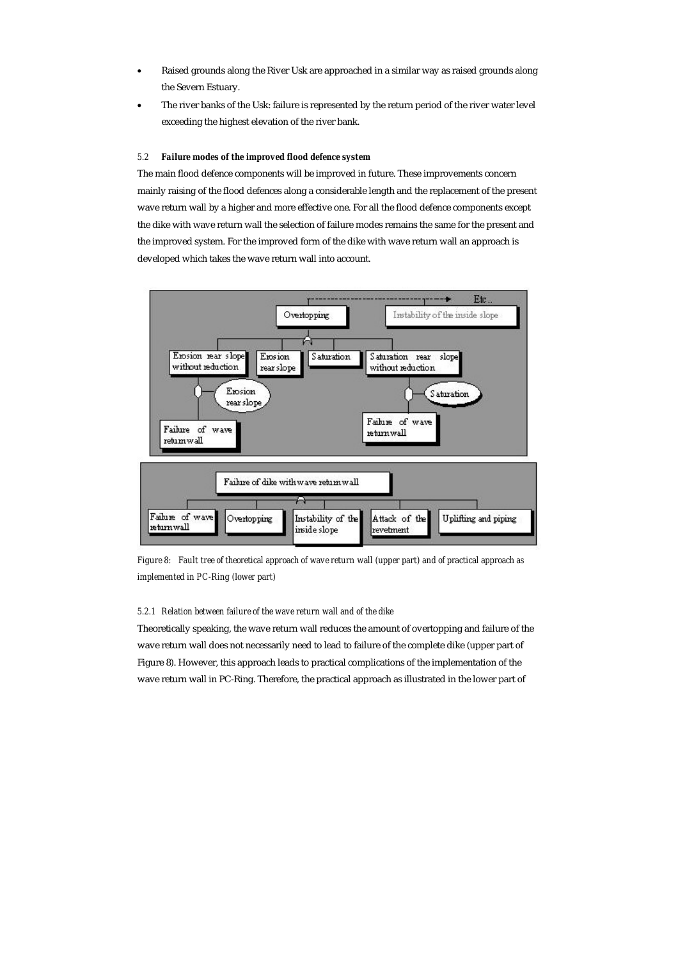- Raised grounds along the River Usk are approached in a similar way as raised grounds along the Severn Estuary.
- The river banks of the Usk: failure is represented by the return period of the river water level exceeding the highest elevation of the river bank.

### *5.2 Failure modes of the improved flood defence system*

The main flood defence components will be improved in future. These improvements concern mainly raising of the flood defences along a considerable length and the replacement of the present wave return wall by a higher and more effective one. For all the flood defence components except the dike with wave return wall the selection of failure modes remains the same for the present and the improved system. For the improved form of the dike with wave return wall an approach is developed which takes the wave return wall into account.



*Figure 8: Fault tree of theoretical approach of wave return wall (upper part) and of practical approach as implemented in PC-Ring (lower part)* 

#### *5.2.1 Relation between failure of the wave return wall and of the dike*

Theoretically speaking, the wave return wall reduces the amount of overtopping and failure of the wave return wall does not necessarily need to lead to failure of the complete dike (upper part of Figure 8). However, this approach leads to practical complications of the implementation of the wave return wall in PC-Ring. Therefore, the practical approach as illustrated in the lower part of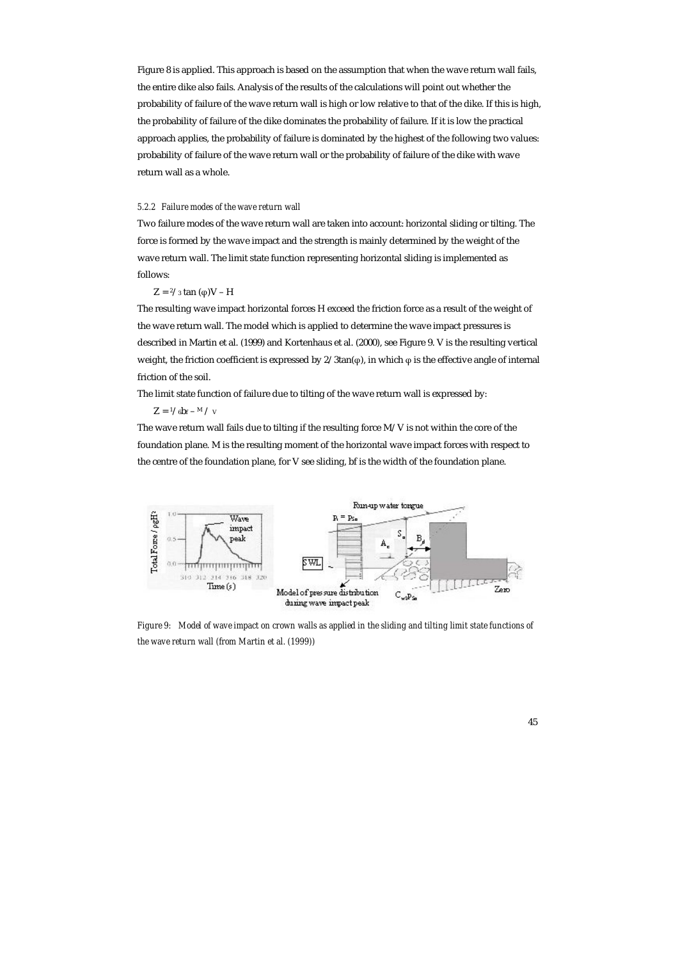Figure 8 is applied. This approach is based on the assumption that when the wave return wall fails, the entire dike also fails. Analysis of the results of the calculations will point out whether the probability of failure of the wave return wall is high or low relative to that of the dike. If this is high, the probability of failure of the dike dominates the probability of failure. If it is low the practical approach applies, the probability of failure is dominated by the highest of the following two values: probability of failure of the wave return wall or the probability of failure of the dike with wave return wall as a whole.

#### *5.2.2 Failure modes of the wave return wall*

Two failure modes of the wave return wall are taken into account: horizontal sliding or tilting. The force is formed by the wave impact and the strength is mainly determined by the weight of the wave return wall. The limit state function representing horizontal sliding is implemented as follows:

#### $Z = \frac{2}{3}$  tan (φ)V – H

The resulting wave impact horizontal forces H exceed the friction force as a result of the weight of the wave return wall. The model which is applied to determine the wave impact pressures is described in Martin et al. (1999) and Kortenhaus et al. (2000), see Figure 9. V is the resulting vertical weight, the friction coefficient is expressed by 2/3tan(φ), in which φ is the effective angle of internal friction of the soil.

The limit state function of failure due to tilting of the wave return wall is expressed by:

#### $Z = \frac{1}{6}b_f - M / V$

The wave return wall fails due to tilting if the resulting force M/V is not within the core of the foundation plane. M is the resulting moment of the horizontal wave impact forces with respect to the centre of the foundation plane, for V see sliding, bf is the width of the foundation plane.



*Figure 9: Model of wave impact on crown walls as applied in the sliding and tilting limit state functions of the wave return wall (from Martin et al. (1999))*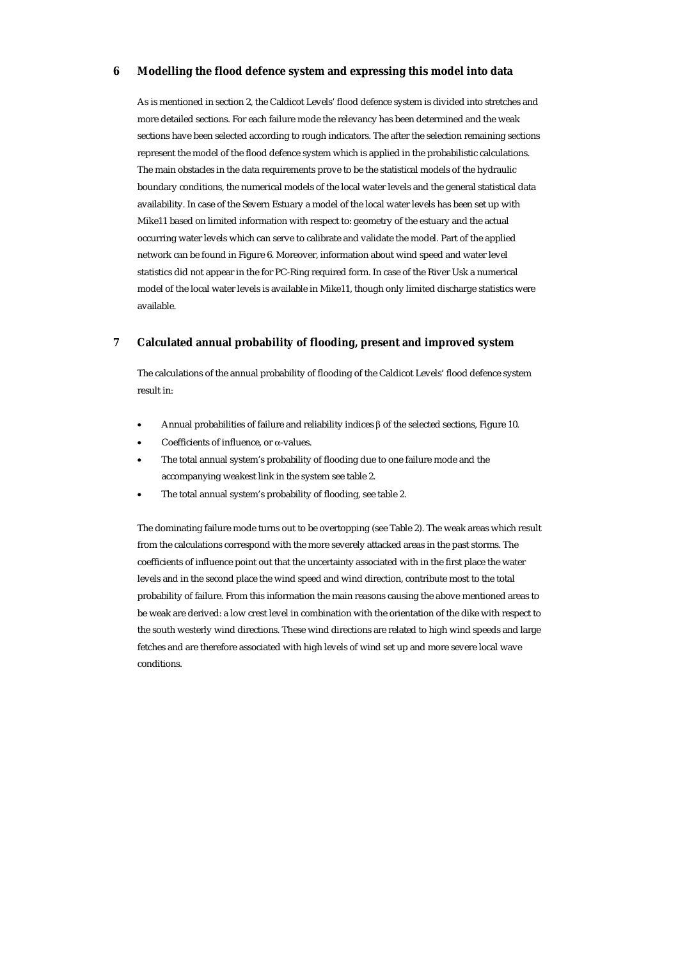## **6 Modelling the flood defence system and expressing this model into data**

As is mentioned in section 2, the Caldicot Levels' flood defence system is divided into stretches and more detailed sections. For each failure mode the relevancy has been determined and the weak sections have been selected according to rough indicators. The after the selection remaining sections represent the model of the flood defence system which is applied in the probabilistic calculations. The main obstacles in the data requirements prove to be the statistical models of the hydraulic boundary conditions, the numerical models of the local water levels and the general statistical data availability. In case of the Severn Estuary a model of the local water levels has been set up with Mike11 based on limited information with respect to: geometry of the estuary and the actual occurring water levels which can serve to calibrate and validate the model. Part of the applied network can be found in Figure 6. Moreover, information about wind speed and water level statistics did not appear in the for PC-Ring required form. In case of the River Usk a numerical model of the local water levels is available in Mike11, though only limited discharge statistics were available.

## **7 Calculated annual probability of flooding, present and improved system**

The calculations of the annual probability of flooding of the Caldicot Levels' flood defence system result in:

- Annual probabilities of failure and reliability indices β of the selected sections, Figure 10.
- Coefficients of influence, or α-values.
- The total annual system's probability of flooding due to one failure mode and the accompanying weakest link in the system see table 2.
- The total annual system's probability of flooding, see table 2.

The dominating failure mode turns out to be overtopping (see Table 2). The weak areas which result from the calculations correspond with the more severely attacked areas in the past storms. The coefficients of influence point out that the uncertainty associated with in the first place the water levels and in the second place the wind speed and wind direction, contribute most to the total probability of failure. From this information the main reasons causing the above mentioned areas to be weak are derived: a low crest level in combination with the orientation of the dike with respect to the south westerly wind directions. These wind directions are related to high wind speeds and large fetches and are therefore associated with high levels of wind set up and more severe local wave conditions.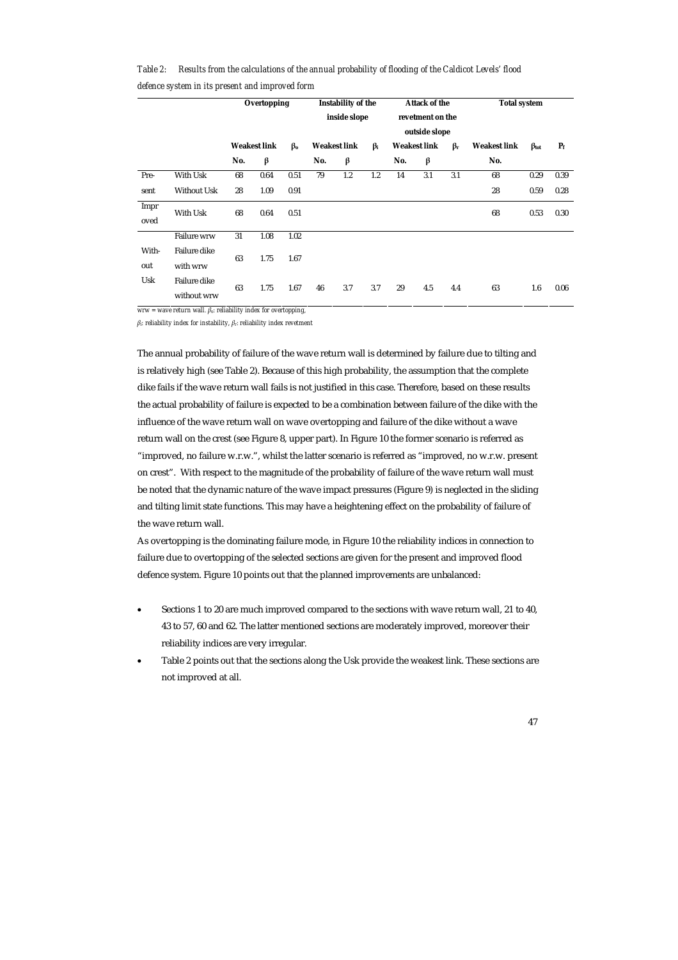|              |                                    | Overtopping<br><b>Weakest link</b><br>$\beta$ <sub>o</sub> |      | <b>Instability of the</b><br>inside slope |                     | <b>Attack of the</b><br>revetment on the<br>outside slope |           | <b>Total system</b>              |     |                     |                   |       |      |
|--------------|------------------------------------|------------------------------------------------------------|------|-------------------------------------------|---------------------|-----------------------------------------------------------|-----------|----------------------------------|-----|---------------------|-------------------|-------|------|
|              |                                    |                                                            |      |                                           | <b>Weakest link</b> |                                                           | $\beta_i$ | <b>Weakest link</b><br>$\beta_r$ |     | <b>Weakest link</b> | $\beta_{\rm tot}$ | $P_f$ |      |
|              |                                    | No.                                                        | β    |                                           | No.                 | β                                                         |           | No.                              | β   |                     | No.               |       |      |
| Pre-         | With Usk                           | 68                                                         | 0.64 | 0.51                                      | 79                  | 1.2                                                       | 1.2       | 14                               | 3.1 | 3.1                 | 68                | 0.29  | 0.39 |
| sent         | <b>Without Usk</b>                 | 28                                                         | 1.09 | 0.91                                      |                     |                                                           |           |                                  |     |                     | 28                | 0.59  | 0.28 |
| Impr<br>oved | With Usk                           | 68                                                         | 0.64 | 0.51                                      |                     |                                                           |           |                                  |     |                     | 68                | 0.53  | 0.30 |
|              | <b>Failure wrw</b>                 | 31                                                         | 1.08 | 1.02                                      |                     |                                                           |           |                                  |     |                     |                   |       |      |
| With-<br>out | <b>Failure dike</b><br>with wrw    | 63                                                         | 1.75 | 1.67                                      |                     |                                                           |           |                                  |     |                     |                   |       |      |
| Usk          | <b>Failure dike</b><br>without wrw | 63                                                         | 1.75 | 1.67                                      | 46                  | 3.7                                                       | 3.7       | 29                               | 4.5 | 4.4                 | 63                | 1.6   | 0.06 |

*Table 2: Results from the calculations of the annual probability of flooding of the Caldicot Levels' flood defence system in its present and improved form* 

*wrw = wave return wall. βo: reliability index for overtopping,* 

*βi: reliability index for instability, βr: reliability index revetment* 

The annual probability of failure of the wave return wall is determined by failure due to tilting and is relatively high (see Table 2). Because of this high probability, the assumption that the complete dike fails if the wave return wall fails is not justified in this case. Therefore, based on these results the actual probability of failure is expected to be a combination between failure of the dike with the influence of the wave return wall on wave overtopping and failure of the dike without a wave return wall on the crest (see Figure 8, upper part). In Figure 10 the former scenario is referred as "improved, no failure w.r.w.", whilst the latter scenario is referred as "improved, no w.r.w. present on crest". With respect to the magnitude of the probability of failure of the wave return wall must be noted that the dynamic nature of the wave impact pressures (Figure 9) is neglected in the sliding and tilting limit state functions. This may have a heightening effect on the probability of failure of the wave return wall.

As overtopping is the dominating failure mode, in Figure 10 the reliability indices in connection to failure due to overtopping of the selected sections are given for the present and improved flood defence system. Figure 10 points out that the planned improvements are unbalanced:

- Sections 1 to 20 are much improved compared to the sections with wave return wall, 21 to 40, 43 to 57, 60 and 62. The latter mentioned sections are moderately improved, moreover their reliability indices are very irregular.
- Table 2 points out that the sections along the Usk provide the weakest link. These sections are not improved at all.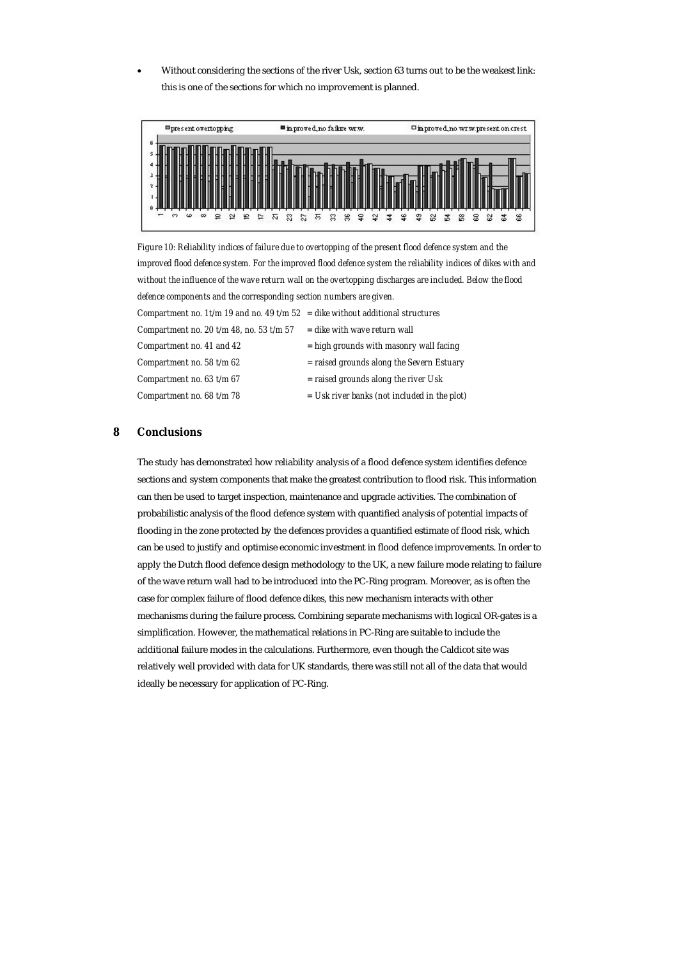• Without considering the sections of the river Usk, section 63 turns out to be the weakest link: this is one of the sections for which no improvement is planned.



*Figure 10: Reliability indices of failure due to overtopping of the present flood defence system and the improved flood defence system. For the improved flood defence system the reliability indices of dikes with and without the influence of the wave return wall on the overtopping discharges are included. Below the flood defence components and the corresponding section numbers are given. Compartment no. 1t/m 19 and no. 49 t/m 52 = dike without additional structures Compartment no. 20 t/m 48, no. 53 t/m 57* = dike with wave return wall *Compartment no. 41 and 42 = high grounds with masonry wall facing Compartment no. 58 t/m 62 = raised grounds along the Severn Estuary Compartment no. 63 t/m 67 = raised grounds along the river Usk Compartment no. 68 t/m 78 = Usk river banks (not included in the plot)* 

## **8 Conclusions**

The study has demonstrated how reliability analysis of a flood defence system identifies defence sections and system components that make the greatest contribution to flood risk. This information can then be used to target inspection, maintenance and upgrade activities. The combination of probabilistic analysis of the flood defence system with quantified analysis of potential impacts of flooding in the zone protected by the defences provides a quantified estimate of flood risk, which can be used to justify and optimise economic investment in flood defence improvements. In order to apply the Dutch flood defence design methodology to the UK, a new failure mode relating to failure of the wave return wall had to be introduced into the PC-Ring program. Moreover, as is often the case for complex failure of flood defence dikes, this new mechanism interacts with other mechanisms during the failure process. Combining separate mechanisms with logical OR-gates is a simplification. However, the mathematical relations in PC-Ring are suitable to include the additional failure modes in the calculations. Furthermore, even though the Caldicot site was relatively well provided with data for UK standards, there was still not all of the data that would ideally be necessary for application of PC-Ring.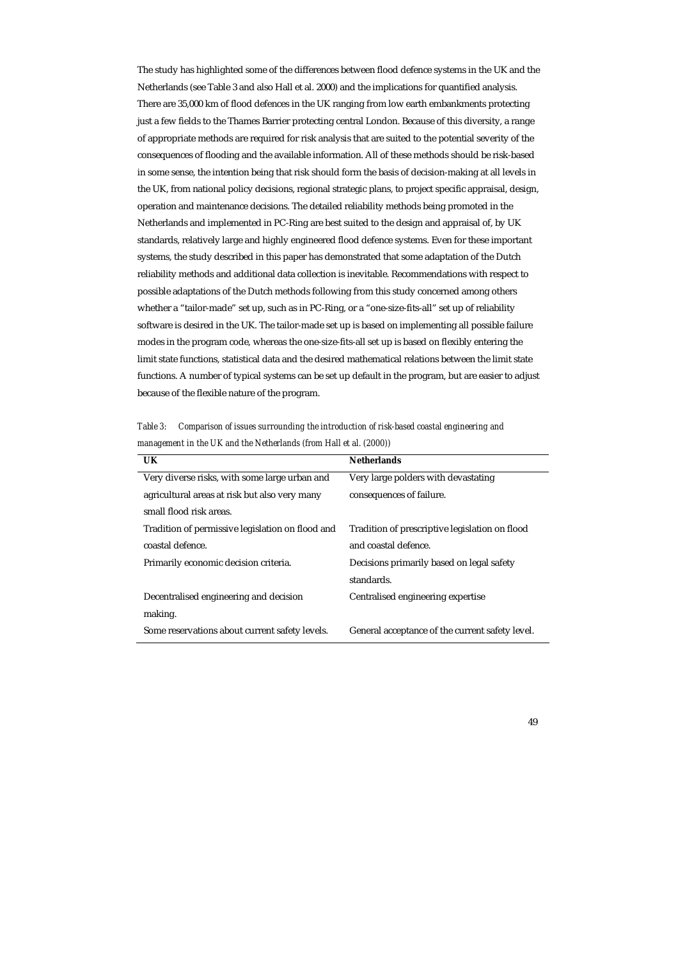The study has highlighted some of the differences between flood defence systems in the UK and the Netherlands (see Table 3 and also Hall et al. 2000) and the implications for quantified analysis. There are 35,000 km of flood defences in the UK ranging from low earth embankments protecting just a few fields to the Thames Barrier protecting central London. Because of this diversity, a range of appropriate methods are required for risk analysis that are suited to the potential severity of the consequences of flooding and the available information. All of these methods should be risk-based in some sense, the intention being that risk should form the basis of decision-making at all levels in the UK, from national policy decisions, regional strategic plans, to project specific appraisal, design, operation and maintenance decisions. The detailed reliability methods being promoted in the Netherlands and implemented in PC-Ring are best suited to the design and appraisal of, by UK standards, relatively large and highly engineered flood defence systems. Even for these important systems, the study described in this paper has demonstrated that some adaptation of the Dutch reliability methods and additional data collection is inevitable. Recommendations with respect to possible adaptations of the Dutch methods following from this study concerned among others whether a "tailor-made" set up, such as in PC-Ring, or a "one-size-fits-all" set up of reliability software is desired in the UK. The tailor-made set up is based on implementing all possible failure modes in the program code, whereas the one-size-fits-all set up is based on flexibly entering the limit state functions, statistical data and the desired mathematical relations between the limit state functions. A number of typical systems can be set up default in the program, but are easier to adjust because of the flexible nature of the program.

*Table 3: Comparison of issues surrounding the introduction of risk-based coastal engineering and*  management in the UK and the Netherlands (from Hall et al. (2000))

| <b>UK</b>                                        | <b>Netherlands</b>                              |  |  |  |  |
|--------------------------------------------------|-------------------------------------------------|--|--|--|--|
| Very diverse risks, with some large urban and    | Very large polders with devastating             |  |  |  |  |
| agricultural areas at risk but also very many    | consequences of failure.                        |  |  |  |  |
| small flood risk areas.                          |                                                 |  |  |  |  |
| Tradition of permissive legislation on flood and | Tradition of prescriptive legislation on flood  |  |  |  |  |
| coastal defence.                                 | and coastal defence.                            |  |  |  |  |
| Primarily economic decision criteria.            | Decisions primarily based on legal safety       |  |  |  |  |
|                                                  | standards.                                      |  |  |  |  |
| Decentralised engineering and decision           | Centralised engineering expertise               |  |  |  |  |
| making.                                          |                                                 |  |  |  |  |
| Some reservations about current safety levels.   | General acceptance of the current safety level. |  |  |  |  |

49